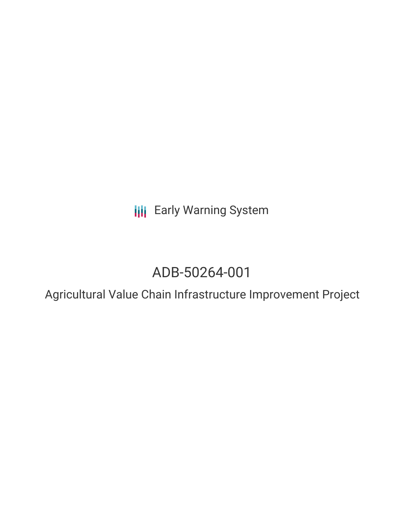**III** Early Warning System

# ADB-50264-001

Agricultural Value Chain Infrastructure Improvement Project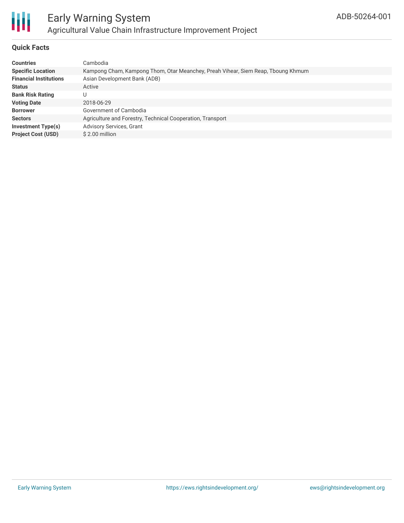

## **Quick Facts**

| <b>Countries</b>              | Cambodia                                                                         |
|-------------------------------|----------------------------------------------------------------------------------|
| <b>Specific Location</b>      | Kampong Cham, Kampong Thom, Otar Meanchey, Preah Vihear, Siem Reap, Tboung Khmum |
| <b>Financial Institutions</b> | Asian Development Bank (ADB)                                                     |
| <b>Status</b>                 | Active                                                                           |
| <b>Bank Risk Rating</b>       | U                                                                                |
| <b>Voting Date</b>            | 2018-06-29                                                                       |
| <b>Borrower</b>               | Government of Cambodia                                                           |
| <b>Sectors</b>                | Agriculture and Forestry, Technical Cooperation, Transport                       |
| Investment Type(s)            | <b>Advisory Services, Grant</b>                                                  |
| <b>Project Cost (USD)</b>     | \$2.00 million                                                                   |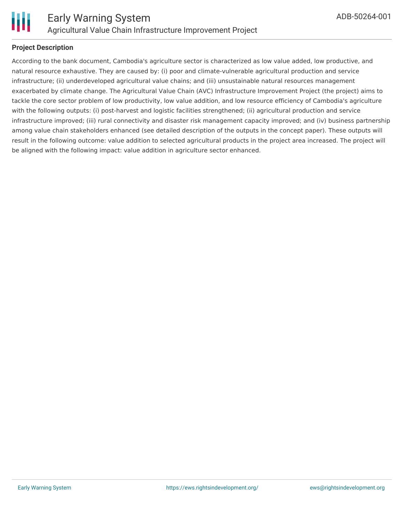

### **Project Description**

According to the bank document, Cambodia's agriculture sector is characterized as low value added, low productive, and natural resource exhaustive. They are caused by: (i) poor and climate-vulnerable agricultural production and service infrastructure; (ii) underdeveloped agricultural value chains; and (iii) unsustainable natural resources management exacerbated by climate change. The Agricultural Value Chain (AVC) Infrastructure Improvement Project (the project) aims to tackle the core sector problem of low productivity, low value addition, and low resource efficiency of Cambodia's agriculture with the following outputs: (i) post-harvest and logistic facilities strengthened; (ii) agricultural production and service infrastructure improved; (iii) rural connectivity and disaster risk management capacity improved; and (iv) business partnership among value chain stakeholders enhanced (see detailed description of the outputs in the concept paper). These outputs will result in the following outcome: value addition to selected agricultural products in the project area increased. The project will be aligned with the following impact: value addition in agriculture sector enhanced.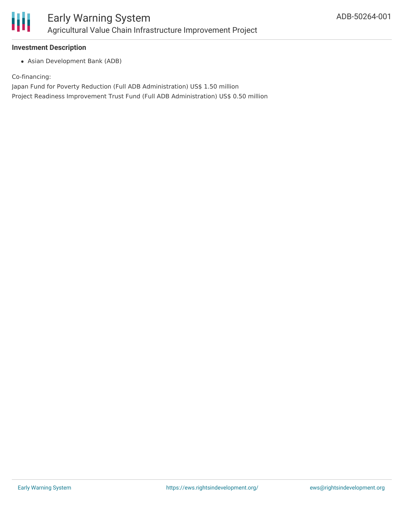

#### **Investment Description**

Asian Development Bank (ADB)

Co-financing:

Japan Fund for Poverty Reduction (Full ADB Administration) US\$ 1.50 million

Project Readiness Improvement Trust Fund (Full ADB Administration) US\$ 0.50 million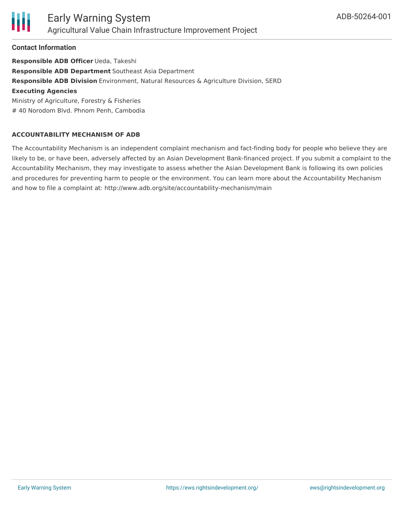

#### **Contact Information**

**Responsible ADB Officer** Ueda, Takeshi **Responsible ADB Department** Southeast Asia Department **Responsible ADB Division** Environment, Natural Resources & Agriculture Division, SERD **Executing Agencies** Ministry of Agriculture, Forestry & Fisheries # 40 Norodom Blvd. Phnom Penh, Cambodia

#### **ACCOUNTABILITY MECHANISM OF ADB**

The Accountability Mechanism is an independent complaint mechanism and fact-finding body for people who believe they are likely to be, or have been, adversely affected by an Asian Development Bank-financed project. If you submit a complaint to the Accountability Mechanism, they may investigate to assess whether the Asian Development Bank is following its own policies and procedures for preventing harm to people or the environment. You can learn more about the Accountability Mechanism and how to file a complaint at: http://www.adb.org/site/accountability-mechanism/main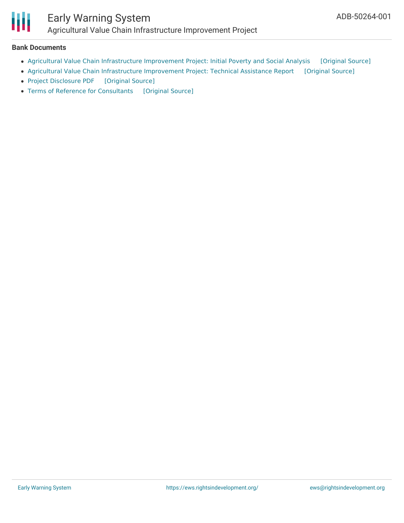

# Early Warning System Agricultural Value Chain Infrastructure Improvement Project

#### **Bank Documents**

- Agricultural Value Chain [Infrastructure](https://ewsdata.rightsindevelopment.org/files/documents/01/ADB-50264-001_CEUqug3.pdf) Improvement Project: Initial Poverty and Social Analysis [\[Original](https://www.adb.org/projects/documents/cam-50264-001-ipsa) Source]
- Agricultural Value Chain [Infrastructure](https://ewsdata.rightsindevelopment.org/files/documents/01/ADB-50264-001_O6DLx3m.pdf) Improvement Project: Technical Assistance Report [\[Original](https://www.adb.org/projects/documents/cam-50264-001-tar) Source]
- Project [Disclosure](https://ewsdata.rightsindevelopment.org/files/documents/01/ADB-50264-001.pdf) PDF [\[Original](https://www.adb.org/printpdf/projects/50264-001/main) Source]
- Terms of Reference for [Consultants](https://ewsdata.rightsindevelopment.org/files/documents/01/ADB-50264-001_BOugqAx.pdf) [\[Original](https://www.adb.org/projects/documents/cam-50264-001-tar) Source]